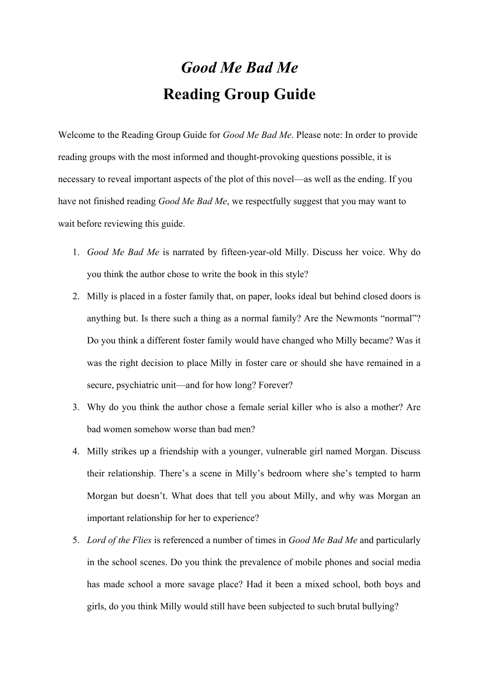## *Good Me Bad Me* **Reading Group Guide**

Welcome to the Reading Group Guide for *Good Me Bad Me*. Please note: In order to provide reading groups with the most informed and thought-provoking questions possible, it is necessary to reveal important aspects of the plot of this novel—as well as the ending. If you have not finished reading *Good Me Bad Me*, we respectfully suggest that you may want to wait before reviewing this guide.

- 1. *Good Me Bad Me* is narrated by fifteen-year-old Milly. Discuss her voice. Why do you think the author chose to write the book in this style?
- 2. Milly is placed in a foster family that, on paper, looks ideal but behind closed doors is anything but. Is there such a thing as a normal family? Are the Newmonts "normal"? Do you think a different foster family would have changed who Milly became? Was it was the right decision to place Milly in foster care or should she have remained in a secure, psychiatric unit—and for how long? Forever?
- 3. Why do you think the author chose a female serial killer who is also a mother? Are bad women somehow worse than bad men?
- 4. Milly strikes up a friendship with a younger, vulnerable girl named Morgan. Discuss their relationship. There's a scene in Milly's bedroom where she's tempted to harm Morgan but doesn't. What does that tell you about Milly, and why was Morgan an important relationship for her to experience?
- 5. *Lord of the Flies* is referenced a number of times in *Good Me Bad Me* and particularly in the school scenes. Do you think the prevalence of mobile phones and social media has made school a more savage place? Had it been a mixed school, both boys and girls, do you think Milly would still have been subjected to such brutal bullying?